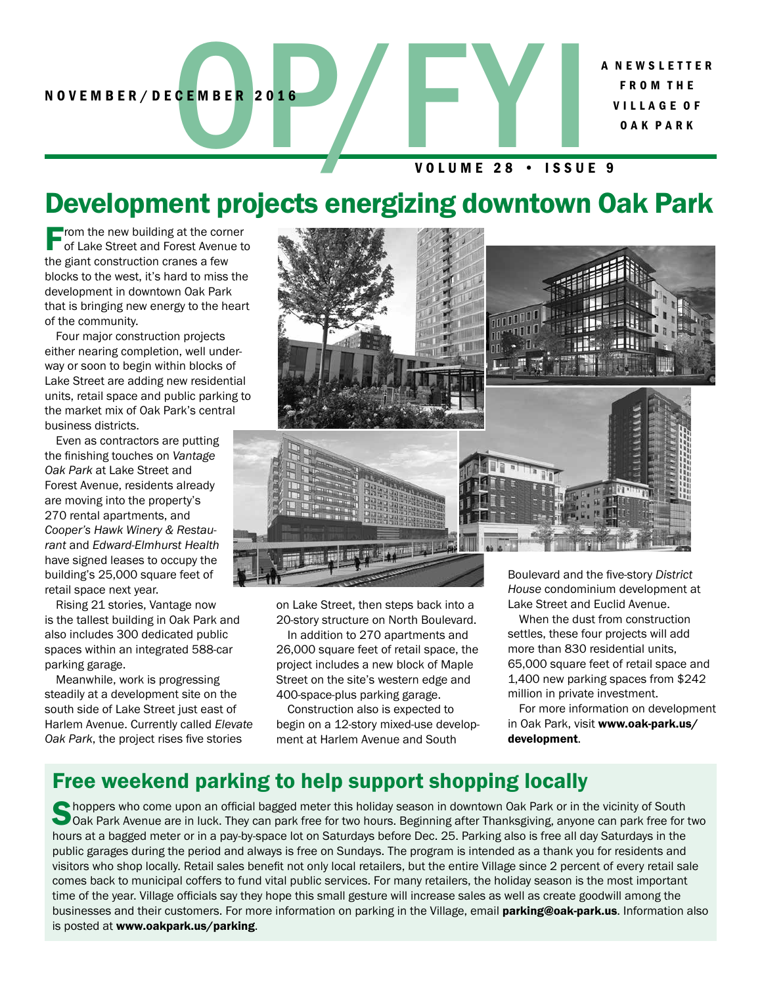A N E W S L E T T E R F R O M T H E V I L L A G E O F O A K P A R K

#### VOLUME 28 • ISSUE 9

# Development projects energizing downtown Oak Park

From the new building at the corner of Lake Street and Forest Avenue to the giant construction cranes a few blocks to the west, it's hard to miss the development in downtown Oak Park that is bringing new energy to the heart of the community.

Four major construction projects either nearing completion, well underway or soon to begin within blocks of Lake Street are adding new residential units, retail space and public parking to the market mix of Oak Park's central business districts.

Even as contractors are putting the finishing touches on *Vantage Oak Park* at Lake Street and Forest Avenue, residents already are moving into the property's 270 rental apartments, and *Cooper's Hawk Winery & Restaurant* and *Edward-Elmhurst Health* have signed leases to occupy the building's 25,000 square feet of retail space next year.

Rising 21 stories, Vantage now is the tallest building in Oak Park and also includes 300 dedicated public spaces within an integrated 588-car parking garage.

Meanwhile, work is progressing steadily at a development site on the south side of Lake Street just east of Harlem Avenue. Currently called *Elevate Oak Park*, the project rises five stories



on Lake Street, then steps back into a 20-story structure on North Boulevard.

In addition to 270 apartments and 26,000 square feet of retail space, the project includes a new block of Maple Street on the site's western edge and 400-space-plus parking garage.

Construction also is expected to begin on a 12-story mixed-use development at Harlem Avenue and South

*House* condominium development at Lake Street and Euclid Avenue.

When the dust from construction settles, these four projects will add more than 830 residential units, 65,000 square feet of retail space and 1,400 new parking spaces from \$242 million in private investment.

For more information on development in Oak Park, visit www.oak-park.us/ development.

#### Free weekend parking to help support shopping locally

Choppers who come upon an official bagged meter this holiday season in downtown Oak Park or in the vicinity of South<br>Oak Park Avenue are in luck. They can park free for two hours. Beginning after Thanksgiving, anyone can p hours at a bagged meter or in a pay-by-space lot on Saturdays before Dec. 25. Parking also is free all day Saturdays in the public garages during the period and always is free on Sundays. The program is intended as a thank you for residents and visitors who shop locally. Retail sales benefit not only local retailers, but the entire Village since 2 percent of every retail sale comes back to municipal coffers to fund vital public services. For many retailers, the holiday season is the most important time of the year. Village officials say they hope this small gesture will increase sales as well as create goodwill among the businesses and their customers. For more information on parking in the Village, email parking@oak-park.us. Information also is posted at www.oakpark.us/parking.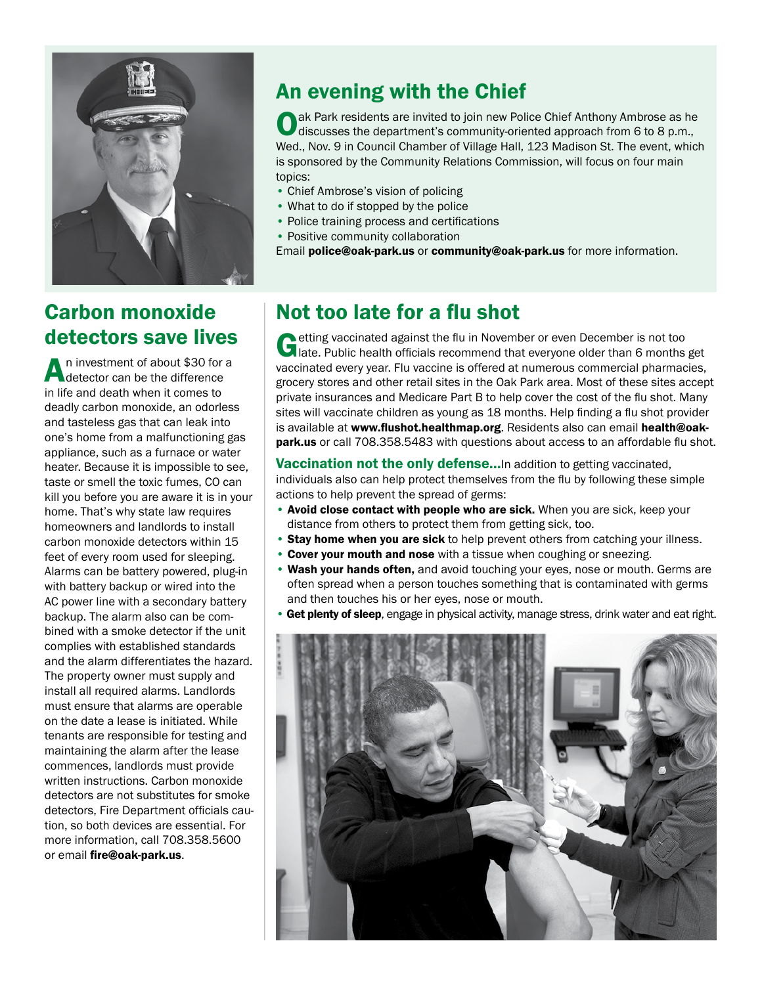

#### Carbon monoxide detectors save lives

An investment of about \$30 for a detector can be the difference in life and death when it comes to deadly carbon monoxide, an odorless and tasteless gas that can leak into one's home from a malfunctioning gas appliance, such as a furnace or water heater. Because it is impossible to see, taste or smell the toxic fumes, CO can kill you before you are aware it is in your home. That's why state law requires homeowners and landlords to install carbon monoxide detectors within 15 feet of every room used for sleeping. Alarms can be battery powered, plug-in with battery backup or wired into the AC power line with a secondary battery backup. The alarm also can be combined with a smoke detector if the unit complies with established standards and the alarm differentiates the hazard. The property owner must supply and install all required alarms. Landlords must ensure that alarms are operable on the date a lease is initiated. While tenants are responsible for testing and maintaining the alarm after the lease commences, landlords must provide written instructions. Carbon monoxide detectors are not substitutes for smoke detectors, Fire Department officials caution, so both devices are essential. For more information, call 708.358.5600 or email fire@oak-park.us.

#### An evening with the Chief

ak Park residents are invited to join new Police Chief Anthony Ambrose as he discusses the department's community-oriented approach from 6 to 8 p.m., Wed., Nov. 9 in Council Chamber of Village Hall, 123 Madison St. The event, which is sponsored by the Community Relations Commission, will focus on four main topics:

- Chief Ambrose's vision of policing
- What to do if stopped by the police
- Police training process and certifications
- Positive community collaboration

Email police@oak-park.us or community@oak-park.us for more information.

#### Not too late for a flu shot

Cetting vaccinated against the flu in November or even December is not too late. Public health officials recommend that everyone older than 6 months get vaccinated every year. Flu vaccine is offered at numerous commercial pharmacies, grocery stores and other retail sites in the Oak Park area. Most of these sites accept private insurances and Medicare Part B to help cover the cost of the flu shot. Many sites will vaccinate children as young as 18 months. Help finding a flu shot provider is available at www.flushot.healthmap.org. Residents also can email health@oakpark.us or call 708.358.5483 with questions about access to an affordable flu shot.

Vaccination not the only defense...In addition to getting vaccinated, individuals also can help protect themselves from the flu by following these simple actions to help prevent the spread of germs:

- Avoid close contact with people who are sick. When you are sick, keep your distance from others to protect them from getting sick, too.
- Stay home when you are sick to help prevent others from catching your illness.
- Cover your mouth and nose with a tissue when coughing or sneezing.
- Wash your hands often, and avoid touching your eyes, nose or mouth. Germs are often spread when a person touches something that is contaminated with germs and then touches his or her eyes, nose or mouth.
- Get plenty of sleep, engage in physical activity, manage stress, drink water and eat right.

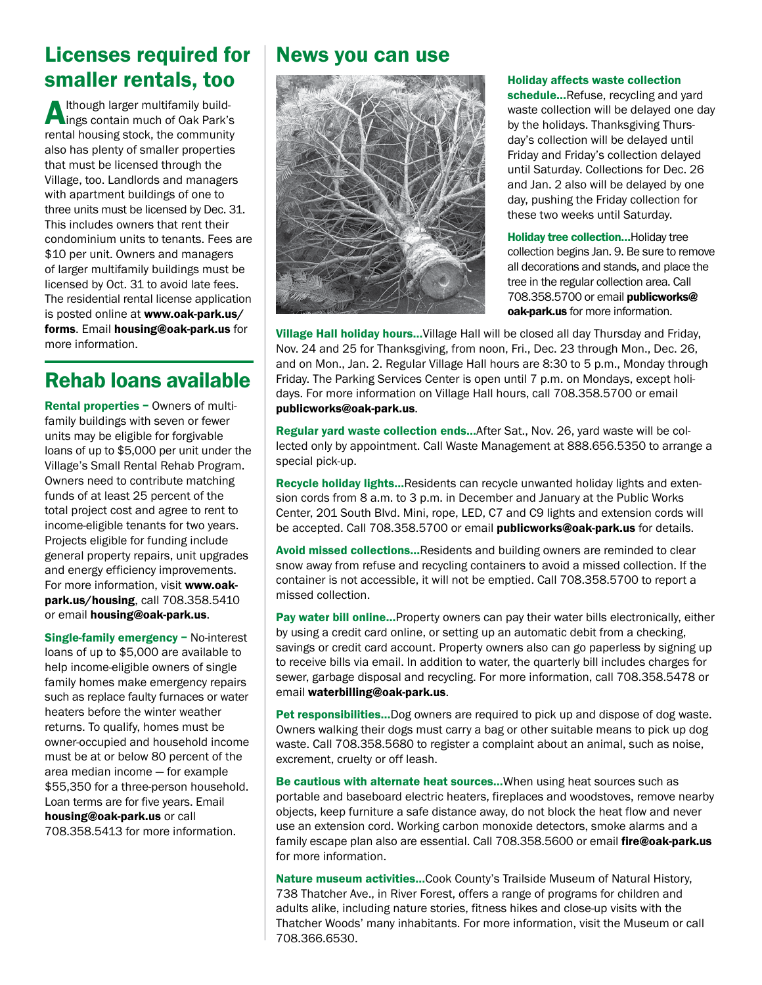#### Licenses required for smaller rentals, too

Although larger multifamily build-ings contain much of Oak Park's rental housing stock, the community also has plenty of smaller properties that must be licensed through the Village, too. Landlords and managers with apartment buildings of one to three units must be licensed by Dec. 31. This includes owners that rent their condominium units to tenants. Fees are \$10 per unit. Owners and managers of larger multifamily buildings must be licensed by Oct. 31 to avoid late fees. The residential rental license application is posted online at www.oak-park.us/ forms. Email housing@oak-park.us for more information.

#### Rehab loans available

Rental properties – Owners of multifamily buildings with seven or fewer units may be eligible for forgivable loans of up to \$5,000 per unit under the Village's Small Rental Rehab Program. Owners need to contribute matching funds of at least 25 percent of the total project cost and agree to rent to income-eligible tenants for two years. Projects eligible for funding include general property repairs, unit upgrades and energy efficiency improvements. For more information, visit www.oakpark.us/housing, call 708.358.5410 or email housing@oak-park.us.

Single-family emergency – No-interest loans of up to \$5,000 are available to help income-eligible owners of single family homes make emergency repairs such as replace faulty furnaces or water heaters before the winter weather returns. To qualify, homes must be owner-occupied and household income must be at or below 80 percent of the area median income — for example \$55,350 for a three-person household. Loan terms are for five years. Email housing@oak-park.us or call 708.358.5413 for more information.

#### News you can use



#### Holiday affects waste collection

schedule...Refuse, recycling and yard waste collection will be delayed one day by the holidays. Thanksgiving Thursday's collection will be delayed until Friday and Friday's collection delayed until Saturday. Collections for Dec. 26 and Jan. 2 also will be delayed by one day, pushing the Friday collection for these two weeks until Saturday.

**Holiday tree collection... Holiday tree** collection begins Jan. 9. Be sure to remove all decorations and stands, and place the tree in the regular collection area. Call 708.358.5700 or email publicworks@ oak-park.us for more information.

Village Hall holiday hours…Village Hall will be closed all day Thursday and Friday, Nov. 24 and 25 for Thanksgiving, from noon, Fri., Dec. 23 through Mon., Dec. 26, and on Mon., Jan. 2. Regular Village Hall hours are 8:30 to 5 p.m., Monday through Friday. The Parking Services Center is open until 7 p.m. on Mondays, except holidays. For more information on Village Hall hours, call 708.358.5700 or email publicworks@oak-park.us.

Regular yard waste collection ends…After Sat., Nov. 26, yard waste will be collected only by appointment. Call Waste Management at 888.656.5350 to arrange a special pick-up.

Recycle holiday lights…Residents can recycle unwanted holiday lights and extension cords from 8 a.m. to 3 p.m. in December and January at the Public Works Center, 201 South Blvd. Mini, rope, LED, C7 and C9 lights and extension cords will be accepted. Call 708.358.5700 or email **publicworks@oak-park.us** for details.

Avoid missed collections...Residents and building owners are reminded to clear snow away from refuse and recycling containers to avoid a missed collection. If the container is not accessible, it will not be emptied. Call 708.358.5700 to report a missed collection.

Pay water bill online... Property owners can pay their water bills electronically, either by using a credit card online, or setting up an automatic debit from a checking, savings or credit card account. Property owners also can go paperless by signing up to receive bills via email. In addition to water, the quarterly bill includes charges for sewer, garbage disposal and recycling. For more information, call 708.358.5478 or email waterbilling@oak-park.us.

Pet responsibilities…Dog owners are required to pick up and dispose of dog waste. Owners walking their dogs must carry a bag or other suitable means to pick up dog waste. Call 708.358.5680 to register a complaint about an animal, such as noise, excrement, cruelty or off leash.

Be cautious with alternate heat sources…When using heat sources such as portable and baseboard electric heaters, fireplaces and woodstoves, remove nearby objects, keep furniture a safe distance away, do not block the heat flow and never use an extension cord. Working carbon monoxide detectors, smoke alarms and a family escape plan also are essential. Call 708.358.5600 or email fire@oak-park.us for more information.

Nature museum activities…Cook County's Trailside Museum of Natural History, 738 Thatcher Ave., in River Forest, offers a range of programs for children and adults alike, including nature stories, fitness hikes and close-up visits with the Thatcher Woods' many inhabitants. For more information, visit the Museum or call 708.366.6530.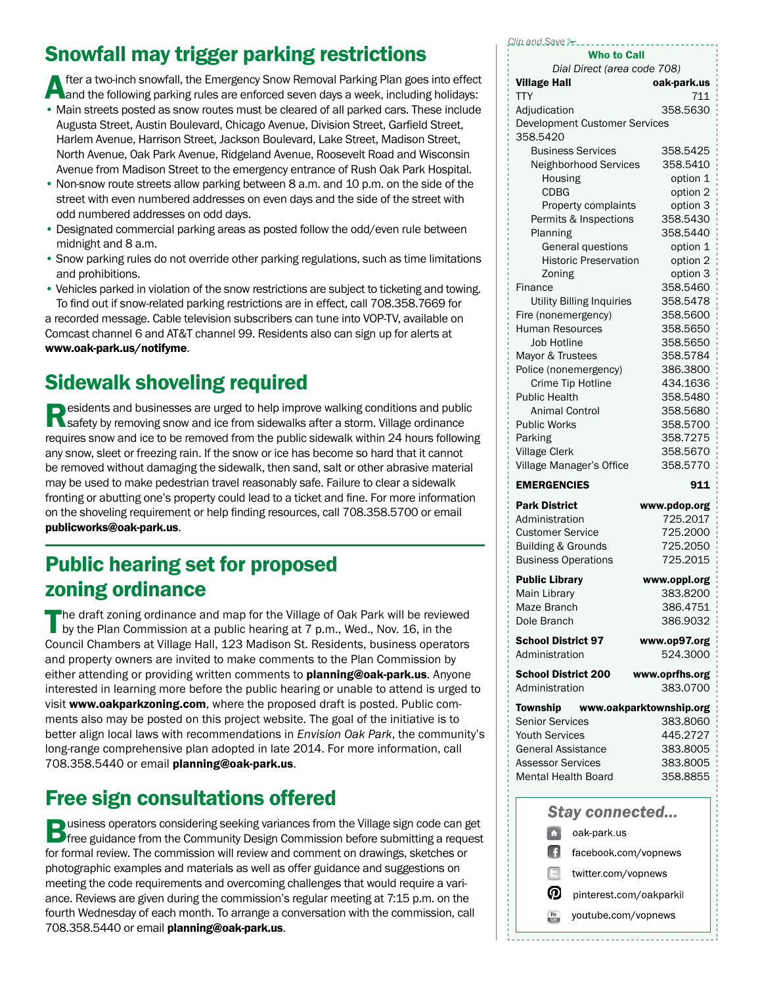## Snowfall may trigger parking restrictions

fter a two-inch snowfall, the Emergency Snow Removal Parking Plan goes into effect and the following parking rules are enforced seven days a week, including holidays:

- Main streets posted as snow routes must be cleared of all parked cars. These include Augusta Street, Austin Boulevard, Chicago Avenue, Division Street, Garfield Street, Harlem Avenue, Harrison Street, Jackson Boulevard, Lake Street, Madison Street, North Avenue, Oak Park Avenue, Ridgeland Avenue, Roosevelt Road and Wisconsin Avenue from Madison Street to the emergency entrance of Rush Oak Park Hospital.
- Non-snow route streets allow parking between 8 a.m. and 10 p.m. on the side of the street with even numbered addresses on even days and the side of the street with odd numbered addresses on odd days.
- Designated commercial parking areas as posted follow the odd/even rule between midnight and 8 a.m.
- Snow parking rules do not override other parking regulations, such as time limitations and prohibitions.
- Vehicles parked in violation of the snow restrictions are subject to ticketing and towing. To find out if snow-related parking restrictions are in effect, call 708.358.7669 for

a recorded message. Cable television subscribers can tune into VOP-TV, available on Comcast channel 6 and AT&T channel 99. Residents also can sign up for alerts at www.oak-park.us/notifyme.

#### Sidewalk shoveling required

Residents and businesses are urged to help improve walking conditions and public<br>
Safety by removing snow and ice from sidewalks after a storm. Village ordinance requires snow and ice to be removed from the public sidewalk within 24 hours following any snow, sleet or freezing rain. If the snow or ice has become so hard that it cannot be removed without damaging the sidewalk, then sand, salt or other abrasive material may be used to make pedestrian travel reasonably safe. Failure to clear a sidewalk fronting or abutting one's property could lead to a ticket and fine. For more information on the shoveling requirement or help finding resources, call 708.358.5700 or email publicworks@oak-park.us.

#### Public hearing set for proposed zoning ordinance

The draft zoning ordinance and map for the Village of Oak Park will be reviewed by the Plan Commission at a public hearing at 7 p.m., Wed., Nov. 16, in the Council Chambers at Village Hall, 123 Madison St. Residents, business operators and property owners are invited to make comments to the Plan Commission by either attending or providing written comments to **planning@oak-park.us**. Anyone interested in learning more before the public hearing or unable to attend is urged to visit www.oakparkzoning.com, where the proposed draft is posted. Public comments also may be posted on this project website. The goal of the initiative is to better align local laws with recommendations in *Envision Oak Park*, the community's long-range comprehensive plan adopted in late 2014. For more information, call 708.358.5440 or email planning@oak-park.us.

#### Free sign consultations offered

**Business operators considering seeking variances from the Village sign code can get**<br>**Free guidance from the Community Design Commission before submitting a request** for formal review. The commission will review and comment on drawings, sketches or photographic examples and materials as well as offer guidance and suggestions on meeting the code requirements and overcoming challenges that would require a variance. Reviews are given during the commission's regular meeting at 7:15 p.m. on the fourth Wednesday of each month. To arrange a conversation with the commission, call 708.358.5440 or email planning@oak-park.us.

*Clip and Save* !

| <b>Who to Call</b>                                          |                          |
|-------------------------------------------------------------|--------------------------|
| Dial Direct (area code 708)<br><b>Village Hall</b>          | oak-park.us              |
| <b>TTY</b>                                                  | 711                      |
| Adjudication<br><b>Development Customer Services</b>        | 358.5630                 |
| 358.5420                                                    |                          |
| <b>Business Services</b>                                    | 358.5425                 |
| Neighborhood Services                                       | 358.5410                 |
| Housing                                                     | option 1                 |
| <b>CDBG</b><br>Property complaints                          | option 2<br>option 3     |
| Permits & Inspections                                       | 358.5430                 |
| Planning                                                    | 358.5440                 |
| General questions                                           | option 1                 |
| <b>Historic Preservation</b>                                | option 2                 |
| Zoning                                                      | option 3                 |
| Finance<br><b>Utility Billing Inquiries</b>                 | 358.5460<br>358.5478     |
| Fire (nonemergency)                                         | 358.5600                 |
| <b>Human Resources</b>                                      | 358.5650                 |
| <b>Job Hotline</b>                                          | 358.5650                 |
| Mayor & Trustees                                            | 358.5784                 |
| Police (nonemergency)                                       | 386.3800                 |
| Crime Tip Hotline                                           | 434.1636                 |
| <b>Public Health</b><br><b>Animal Control</b>               | 358.5480<br>358.5680     |
| <b>Public Works</b>                                         | 358.5700                 |
| Parking                                                     | 358.7275                 |
| <b>Village Clerk</b>                                        | 358.5670                 |
| Village Manager's Office                                    | 358,5770                 |
| <b>EMERGENCIES</b>                                          | 911                      |
| <b>Park District</b>                                        | www.pdop.org             |
| Administration                                              | 725.2017                 |
| <b>Customer Service</b>                                     | 725.2000                 |
| <b>Building &amp; Grounds</b><br><b>Business Operations</b> | 725.2050<br>725.2015     |
| <b>Public Library</b>                                       |                          |
| <b>Main Librarv</b>                                         | www.oppl.org<br>383.8200 |
| Maze Branch                                                 | 386.4751                 |
| Dole Branch                                                 | 386.9032                 |
| <b>School District 97</b>                                   | www.op97.org             |
| Administration                                              | 524.3000                 |
| <b>School District 200</b>                                  | www.oprfhs.org           |
| Administration                                              | 383.0700                 |
| Township www.oakparktownship.org                            |                          |
| <b>Senior Services</b><br><b>Youth Services</b>             | 383.8060<br>445.2727     |
| General Assistance                                          | 383.8005                 |
|                                                             |                          |
|                                                             |                          |
| Assessor Services<br>Mental Health Board                    | 383.8005<br>358.8855     |
|                                                             |                          |
| <b>Stay connected</b>                                       |                          |
| O<br>oak-park.us                                            |                          |
| n<br>facebook.com/vopnews                                   |                          |
| A<br>twitter.com/vopnews                                    |                          |
| ൫<br>pinterest.com/oakparkil                                |                          |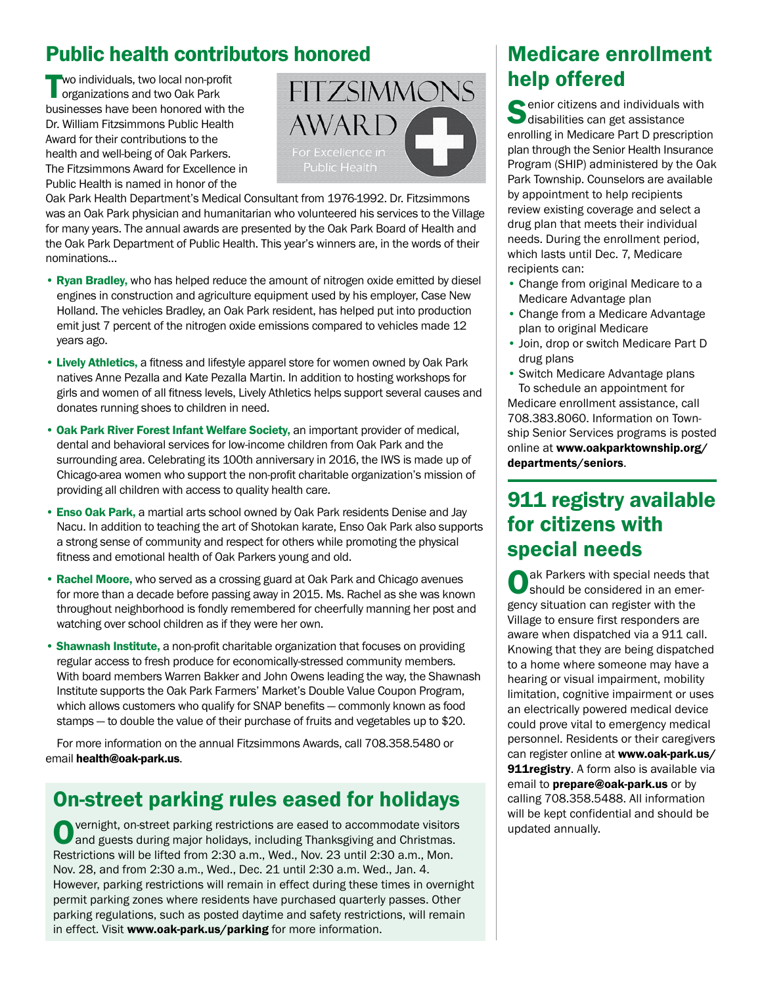#### Public health contributors honored

wo individuals, two local non-profit organizations and two Oak Park businesses have been honored with the Dr. William Fitzsimmons Public Health Award for their contributions to the health and well-being of Oak Parkers. The Fitzsimmons Award for Excellence in Public Health is named in honor of the



Oak Park Health Department's Medical Consultant from 1976-1992. Dr. Fitzsimmons was an Oak Park physician and humanitarian who volunteered his services to the Village for many years. The annual awards are presented by the Oak Park Board of Health and the Oak Park Department of Public Health. This year's winners are, in the words of their nominations…

- Ryan Bradley, who has helped reduce the amount of nitrogen oxide emitted by diesel engines in construction and agriculture equipment used by his employer, Case New Holland. The vehicles Bradley, an Oak Park resident, has helped put into production emit just 7 percent of the nitrogen oxide emissions compared to vehicles made 12 years ago.
- Lively Athletics, a fitness and lifestyle apparel store for women owned by Oak Park natives Anne Pezalla and Kate Pezalla Martin. In addition to hosting workshops for girls and women of all fitness levels, Lively Athletics helps support several causes and donates running shoes to children in need.
- Oak Park River Forest Infant Welfare Society, an important provider of medical, dental and behavioral services for low-income children from Oak Park and the surrounding area. Celebrating its 100th anniversary in 2016, the IWS is made up of Chicago-area women who support the non-profit charitable organization's mission of providing all children with access to quality health care.
- Enso Oak Park, a martial arts school owned by Oak Park residents Denise and Jay Nacu. In addition to teaching the art of Shotokan karate, Enso Oak Park also supports a strong sense of community and respect for others while promoting the physical fitness and emotional health of Oak Parkers young and old.
- Rachel Moore, who served as a crossing guard at Oak Park and Chicago avenues for more than a decade before passing away in 2015. Ms. Rachel as she was known throughout neighborhood is fondly remembered for cheerfully manning her post and watching over school children as if they were her own.
- Shawnash Institute, a non-profit charitable organization that focuses on providing regular access to fresh produce for economically-stressed community members. With board members Warren Bakker and John Owens leading the way, the Shawnash Institute supports the Oak Park Farmers' Market's Double Value Coupon Program, which allows customers who qualify for SNAP benefits — commonly known as food stamps — to double the value of their purchase of fruits and vegetables up to \$20.

For more information on the annual Fitzsimmons Awards, call 708.358.5480 or email health@oak-park.us.

#### On-street parking rules eased for holidays

Overnight, on-street parking restrictions are eased to accommodate visitors and guests during major holidays, including Thanksgiving and Christmas. Restrictions will be lifted from 2:30 a.m., Wed., Nov. 23 until 2:30 a.m., Mon. Nov. 28, and from 2:30 a.m., Wed., Dec. 21 until 2:30 a.m. Wed., Jan. 4. However, parking restrictions will remain in effect during these times in overnight permit parking zones where residents have purchased quarterly passes. Other parking regulations, such as posted daytime and safety restrictions, will remain in effect. Visit www.oak-park.us/parking for more information.

#### Medicare enrollment help offered

 $\bigcirc$  enior citizens and individuals with disabilities can get assistance enrolling in Medicare Part D prescription plan through the Senior Health Insurance Program (SHIP) administered by the Oak Park Township. Counselors are available by appointment to help recipients review existing coverage and select a drug plan that meets their individual needs. During the enrollment period, which lasts until Dec. 7, Medicare recipients can:

- Change from original Medicare to a Medicare Advantage plan
- Change from a Medicare Advantage plan to original Medicare
- Join, drop or switch Medicare Part D drug plans
- Switch Medicare Advantage plans To schedule an appointment for

Medicare enrollment assistance, call 708.383.8060. Information on Township Senior Services programs is posted online at www.oakparktownship.org/ departments/seniors.

#### 911 registry available for citizens with special needs

ak Parkers with special needs that should be considered in an emergency situation can register with the Village to ensure first responders are aware when dispatched via a 911 call. Knowing that they are being dispatched to a home where someone may have a hearing or visual impairment, mobility limitation, cognitive impairment or uses an electrically powered medical device could prove vital to emergency medical personnel. Residents or their caregivers can register online at www.oak-park.us/ 911registry. A form also is available via email to **prepare@oak-park.us** or by calling 708.358.5488. All information will be kept confidential and should be updated annually.